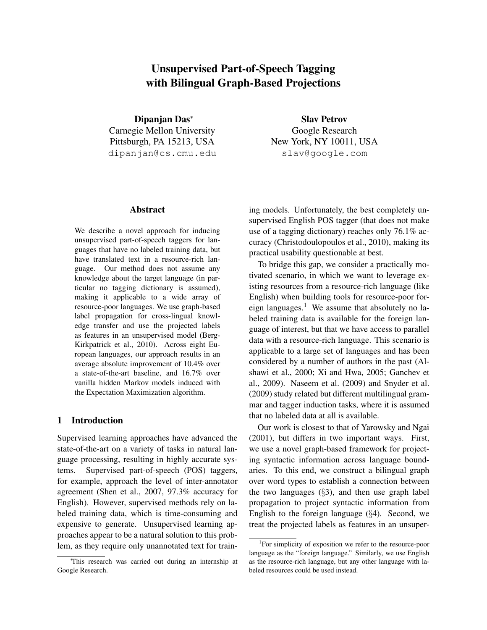# Unsupervised Part-of-Speech Tagging with Bilingual Graph-Based Projections

Dipanjan Das<sup>∗</sup> Carnegie Mellon University Pittsburgh, PA 15213, USA dipanjan@cs.cmu.edu

## Abstract

We describe a novel approach for inducing unsupervised part-of-speech taggers for languages that have no labeled training data, but have translated text in a resource-rich language. Our method does not assume any knowledge about the target language (in particular no tagging dictionary is assumed), making it applicable to a wide array of resource-poor languages. We use graph-based label propagation for cross-lingual knowledge transfer and use the projected labels as features in an unsupervised model (Berg-Kirkpatrick et al., 2010). Across eight European languages, our approach results in an average absolute improvement of 10.4% over a state-of-the-art baseline, and 16.7% over vanilla hidden Markov models induced with the Expectation Maximization algorithm.

## 1 Introduction

Supervised learning approaches have advanced the state-of-the-art on a variety of tasks in natural language processing, resulting in highly accurate systems. Supervised part-of-speech (POS) taggers, for example, approach the level of inter-annotator agreement (Shen et al., 2007, 97.3% accuracy for English). However, supervised methods rely on labeled training data, which is time-consuming and expensive to generate. Unsupervised learning approaches appear to be a natural solution to this problem, as they require only unannotated text for train-

Slav Petrov Google Research New York, NY 10011, USA slav@google.com

ing models. Unfortunately, the best completely unsupervised English POS tagger (that does not make use of a tagging dictionary) reaches only 76.1% accuracy (Christodoulopoulos et al., 2010), making its practical usability questionable at best.

To bridge this gap, we consider a practically motivated scenario, in which we want to leverage existing resources from a resource-rich language (like English) when building tools for resource-poor foreign languages.<sup>1</sup> We assume that absolutely no labeled training data is available for the foreign language of interest, but that we have access to parallel data with a resource-rich language. This scenario is applicable to a large set of languages and has been considered by a number of authors in the past (Alshawi et al., 2000; Xi and Hwa, 2005; Ganchev et al., 2009). Naseem et al. (2009) and Snyder et al. (2009) study related but different multilingual grammar and tagger induction tasks, where it is assumed that no labeled data at all is available.

Our work is closest to that of Yarowsky and Ngai (2001), but differs in two important ways. First, we use a novel graph-based framework for projecting syntactic information across language boundaries. To this end, we construct a bilingual graph over word types to establish a connection between the two languages  $(\S3)$ , and then use graph label propagation to project syntactic information from English to the foreign language  $(\S 4)$ . Second, we treat the projected labels as features in an unsuper-

<sup>∗</sup>This research was carried out during an internship at Google Research.

<sup>&</sup>lt;sup>1</sup>For simplicity of exposition we refer to the resource-poor language as the "foreign language." Similarly, we use English as the resource-rich language, but any other language with labeled resources could be used instead.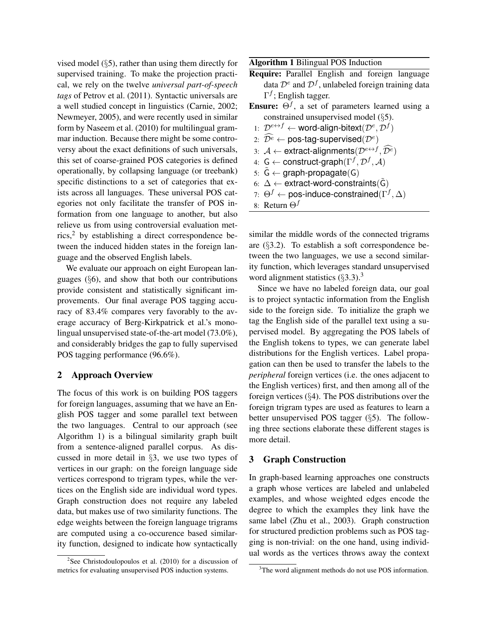vised model (§5), rather than using them directly for supervised training. To make the projection practical, we rely on the twelve *universal part-of-speech tags* of Petrov et al. (2011). Syntactic universals are a well studied concept in linguistics (Carnie, 2002; Newmeyer, 2005), and were recently used in similar form by Naseem et al. (2010) for multilingual grammar induction. Because there might be some controversy about the exact definitions of such universals, this set of coarse-grained POS categories is defined operationally, by collapsing language (or treebank) specific distinctions to a set of categories that exists across all languages. These universal POS categories not only facilitate the transfer of POS information from one language to another, but also relieve us from using controversial evaluation metrics,<sup>2</sup> by establishing a direct correspondence between the induced hidden states in the foreign language and the observed English labels.

We evaluate our approach on eight European languages (§6), and show that both our contributions provide consistent and statistically significant improvements. Our final average POS tagging accuracy of 83.4% compares very favorably to the average accuracy of Berg-Kirkpatrick et al.'s monolingual unsupervised state-of-the-art model (73.0%), and considerably bridges the gap to fully supervised POS tagging performance (96.6%).

## 2 Approach Overview

The focus of this work is on building POS taggers for foreign languages, assuming that we have an English POS tagger and some parallel text between the two languages. Central to our approach (see Algorithm 1) is a bilingual similarity graph built from a sentence-aligned parallel corpus. As discussed in more detail in §3, we use two types of vertices in our graph: on the foreign language side vertices correspond to trigram types, while the vertices on the English side are individual word types. Graph construction does not require any labeled data, but makes use of two similarity functions. The edge weights between the foreign language trigrams are computed using a co-occurence based similarity function, designed to indicate how syntactically

Algorithm 1 Bilingual POS Induction

- Require: Parallel English and foreign language data  $\mathcal{D}^e$  and  $\mathcal{D}^f$ , unlabeled foreign training data  $\Gamma^f$ ; English tagger.
- **Ensure:**  $\Theta$ <sup>f</sup>, a set of parameters learned using a constrained unsupervised model (§5).
	- 1:  $\mathcal{D}^{e \leftrightarrow f} \leftarrow$  word-align-bitext $(\mathcal{D}^e, \mathcal{D}^f)$
- $\widehat{\mathcal{D}^e}\leftarrow \textsf{pos-tag-supervised}(\mathcal{D}^e)$
- 3:  $\mathcal{A} \leftarrow$  extract-alignments $(\mathcal{D}^{e \leftrightarrow f}, \widehat{\mathcal{D}^e})$
- 4:  $G \leftarrow$  construct-graph $(\Gamma^f, \mathcal{D}^f, \mathcal{A})$
- $5: \tilde{G} \leftarrow$  graph-propagate(G)
- 6:  $\Delta \leftarrow$  extract-word-constraints( $\tilde{G}$ )
- 7:  $\Theta^f \leftarrow$  pos-induce-constrained $(\Gamma^f, \Delta)$
- 8: Return  $\Theta^f$

similar the middle words of the connected trigrams are (§3.2). To establish a soft correspondence between the two languages, we use a second similarity function, which leverages standard unsupervised word alignment statistics  $(\S3.3)$ .<sup>3</sup>

Since we have no labeled foreign data, our goal is to project syntactic information from the English side to the foreign side. To initialize the graph we tag the English side of the parallel text using a supervised model. By aggregating the POS labels of the English tokens to types, we can generate label distributions for the English vertices. Label propagation can then be used to transfer the labels to the *peripheral* foreign vertices (i.e. the ones adjacent to the English vertices) first, and then among all of the foreign vertices (§4). The POS distributions over the foreign trigram types are used as features to learn a better unsupervised POS tagger (§5). The following three sections elaborate these different stages is more detail.

## 3 Graph Construction

In graph-based learning approaches one constructs a graph whose vertices are labeled and unlabeled examples, and whose weighted edges encode the degree to which the examples they link have the same label (Zhu et al., 2003). Graph construction for structured prediction problems such as POS tagging is non-trivial: on the one hand, using individual words as the vertices throws away the context

<sup>&</sup>lt;sup>2</sup>See Christodoulopoulos et al. (2010) for a discussion of metrics for evaluating unsupervised POS induction systems.

<sup>&</sup>lt;sup>3</sup>The word alignment methods do not use POS information.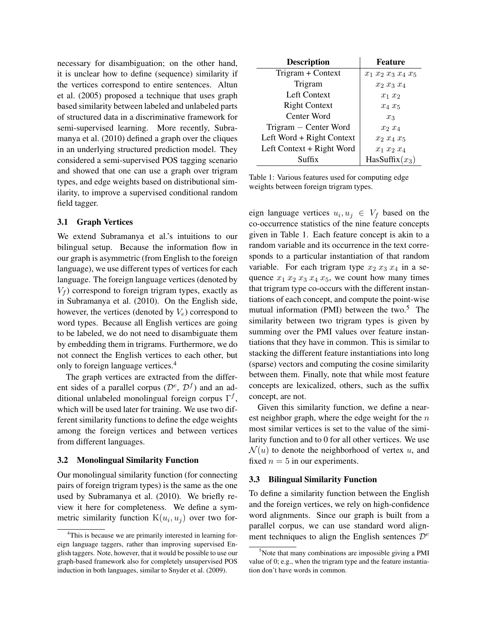necessary for disambiguation; on the other hand, it is unclear how to define (sequence) similarity if the vertices correspond to entire sentences. Altun et al. (2005) proposed a technique that uses graph based similarity between labeled and unlabeled parts of structured data in a discriminative framework for semi-supervised learning. More recently, Subramanya et al. (2010) defined a graph over the cliques in an underlying structured prediction model. They considered a semi-supervised POS tagging scenario and showed that one can use a graph over trigram types, and edge weights based on distributional similarity, to improve a supervised conditional random field tagger.

#### 3.1 Graph Vertices

We extend Subramanya et al.'s intuitions to our bilingual setup. Because the information flow in our graph is asymmetric (from English to the foreign language), we use different types of vertices for each language. The foreign language vertices (denoted by  $V_f$ ) correspond to foreign trigram types, exactly as in Subramanya et al. (2010). On the English side, however, the vertices (denoted by  $V_e$ ) correspond to word types. Because all English vertices are going to be labeled, we do not need to disambiguate them by embedding them in trigrams. Furthermore, we do not connect the English vertices to each other, but only to foreign language vertices.<sup>4</sup>

The graph vertices are extracted from the different sides of a parallel corpus  $(\mathcal{D}^e, \mathcal{D}^f)$  and an additional unlabeled monolingual foreign corpus  $\Gamma^f$ , which will be used later for training. We use two different similarity functions to define the edge weights among the foreign vertices and between vertices from different languages.

#### 3.2 Monolingual Similarity Function

Our monolingual similarity function (for connecting pairs of foreign trigram types) is the same as the one used by Subramanya et al. (2010). We briefly review it here for completeness. We define a symmetric similarity function  $K(u_i, u_j)$  over two for-

| <b>Description</b>        | <b>Feature</b>        |
|---------------------------|-----------------------|
| Trigram + Context         | $x_1 x_2 x_3 x_4 x_5$ |
| Trigram                   | $x_2$ $x_3$ $x_4$     |
| Left Context              | $x_1$ $x_2$           |
| <b>Right Context</b>      | $x_4 x_5$             |
| Center Word               | $x_3$                 |
| Trigram – Center Word     | $x_2$ $x_4$           |
| Left Word + Right Context | $x_2$ $x_4$ $x_5$     |
| Left Context + Right Word | $x_1 x_2 x_4$         |
| $S$ uffix                 | HasSuffix $(x_3)$     |

Table 1: Various features used for computing edge weights between foreign trigram types.

eign language vertices  $u_i, u_j \in V_f$  based on the co-occurrence statistics of the nine feature concepts given in Table 1. Each feature concept is akin to a random variable and its occurrence in the text corresponds to a particular instantiation of that random variable. For each trigram type  $x_2$   $x_3$   $x_4$  in a sequence  $x_1$   $x_2$   $x_3$   $x_4$   $x_5$ , we count how many times that trigram type co-occurs with the different instantiations of each concept, and compute the point-wise mutual information (PMI) between the two. $5$  The similarity between two trigram types is given by summing over the PMI values over feature instantiations that they have in common. This is similar to stacking the different feature instantiations into long (sparse) vectors and computing the cosine similarity between them. Finally, note that while most feature concepts are lexicalized, others, such as the suffix concept, are not.

Given this similarity function, we define a nearest neighbor graph, where the edge weight for the  $n$ most similar vertices is set to the value of the similarity function and to 0 for all other vertices. We use  $\mathcal{N}(u)$  to denote the neighborhood of vertex u, and fixed  $n = 5$  in our experiments.

#### 3.3 Bilingual Similarity Function

To define a similarity function between the English and the foreign vertices, we rely on high-confidence word alignments. Since our graph is built from a parallel corpus, we can use standard word alignment techniques to align the English sentences  $\mathcal{D}^e$ 

<sup>&</sup>lt;sup>4</sup>This is because we are primarily interested in learning foreign language taggers, rather than improving supervised English taggers. Note, however, that it would be possible to use our graph-based framework also for completely unsupervised POS induction in both languages, similar to Snyder et al. (2009).

 $5$ Note that many combinations are impossible giving a PMI value of 0; e.g., when the trigram type and the feature instantiation don't have words in common.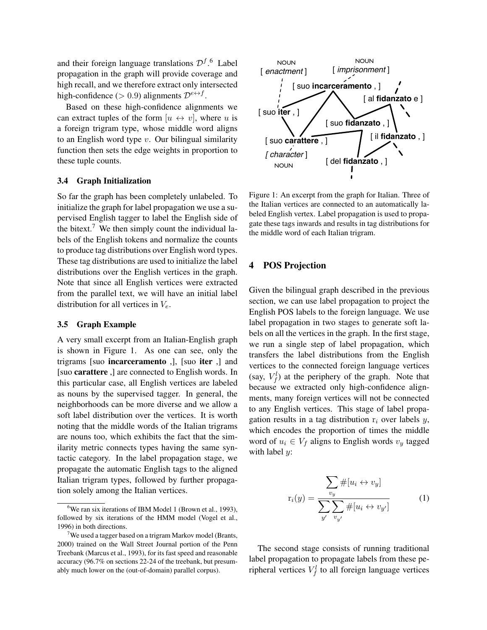and their foreign language translations  $\mathcal{D}^{f}$ .<sup>6</sup> Label propagation in the graph will provide coverage and high recall, and we therefore extract only intersected high-confidence (> 0.9) alignments  $\mathcal{D}^{e \leftrightarrow f}$ .

Based on these high-confidence alignments we can extract tuples of the form  $[u \leftrightarrow v]$ , where u is a foreign trigram type, whose middle word aligns to an English word type  $v$ . Our bilingual similarity function then sets the edge weights in proportion to these tuple counts.

#### 3.4 Graph Initialization

So far the graph has been completely unlabeled. To initialize the graph for label propagation we use a supervised English tagger to label the English side of the bitext.<sup>7</sup> We then simply count the individual labels of the English tokens and normalize the counts to produce tag distributions over English word types. These tag distributions are used to initialize the label distributions over the English vertices in the graph. Note that since all English vertices were extracted from the parallel text, we will have an initial label distribution for all vertices in  $V_e$ .

#### 3.5 Graph Example

A very small excerpt from an Italian-English graph is shown in Figure 1. As one can see, only the trigrams [suo incarceramento ,], [suo iter ,] and [suo carattere ,] are connected to English words. In this particular case, all English vertices are labeled as nouns by the supervised tagger. In general, the neighborhoods can be more diverse and we allow a soft label distribution over the vertices. It is worth noting that the middle words of the Italian trigrams are nouns too, which exhibits the fact that the similarity metric connects types having the same syntactic category. In the label propagation stage, we propagate the automatic English tags to the aligned Italian trigram types, followed by further propagation solely among the Italian vertices.



Figure 1: An excerpt from the graph for Italian. Three of the Italian vertices are connected to an automatically labeled English vertex. Label propagation is used to propagate these tags inwards and results in tag distributions for the middle word of each Italian trigram.

## 4 POS Projection

Given the bilingual graph described in the previous section, we can use label propagation to project the English POS labels to the foreign language. We use label propagation in two stages to generate soft labels on all the vertices in the graph. In the first stage, we run a single step of label propagation, which transfers the label distributions from the English vertices to the connected foreign language vertices (say,  $V_f^l$ ) at the periphery of the graph. Note that because we extracted only high-confidence alignments, many foreign vertices will not be connected to any English vertices. This stage of label propagation results in a tag distribution  $r_i$  over labels  $y$ , which encodes the proportion of times the middle word of  $u_i \in V_f$  aligns to English words  $v_y$  tagged with label *:* 

$$
\mathbf{r}_i(y) = \frac{\sum_{v_y} \# [u_i \leftrightarrow v_y]}{\sum_{y'} \sum_{v_{y'}} \# [u_i \leftrightarrow v_{y'}]} \tag{1}
$$

The second stage consists of running traditional label propagation to propagate labels from these peripheral vertices  $V_f^l$  to all foreign language vertices

 $6$ We ran six iterations of IBM Model 1 (Brown et al., 1993), followed by six iterations of the HMM model (Vogel et al., 1996) in both directions.

<sup>7</sup>We used a tagger based on a trigram Markov model (Brants, 2000) trained on the Wall Street Journal portion of the Penn Treebank (Marcus et al., 1993), for its fast speed and reasonable accuracy (96.7% on sections 22-24 of the treebank, but presumably much lower on the (out-of-domain) parallel corpus).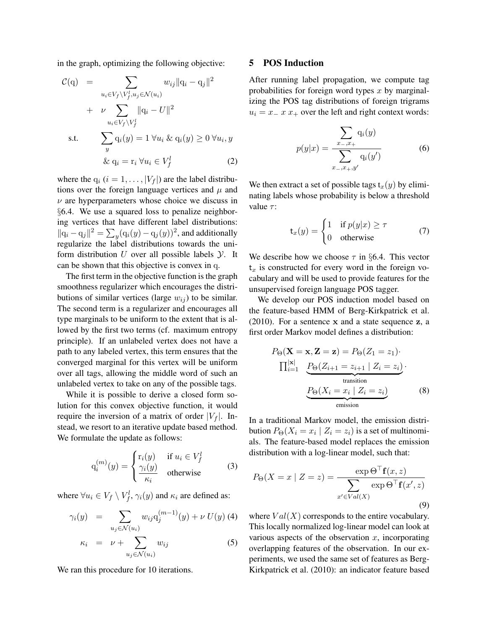in the graph, optimizing the following objective:

$$
\mathcal{C}(\mathbf{q}) = \sum_{u_i \in V_f \backslash V_f^l, u_j \in \mathcal{N}(u_i)} w_{ij} ||\mathbf{q}_i - \mathbf{q}_j||^2
$$
  
+  $\nu \sum_{u_i \in V_f \backslash V_f^l} ||\mathbf{q}_i - U||^2$   
s.t.  $\sum_y \mathbf{q}_i(y) = 1 \ \forall u_i \ \& \ \mathbf{q}_i(y) \ge 0 \ \forall u_i, y$   
 $\& \ \mathbf{q}_i = \mathbf{r}_i \ \forall u_i \in V_f^l$  (2)

where the  $q_i$   $(i = 1, \ldots, |V_f|)$  are the label distributions over the foreign language vertices and  $\mu$  and  $\nu$  are hyperparameters whose choice we discuss in §6.4. We use a squared loss to penalize neighboring vertices that have different label distributions:  $||\mathbf{q}_i - \mathbf{q}_j||^2 = \sum_y (\mathbf{q}_i(y) - \mathbf{q}_j(y))^2$ , and additionally regularize the label distributions towards the uniform distribution  $U$  over all possible labels  $Y$ . It can be shown that this objective is convex in q.

The first term in the objective function is the graph smoothness regularizer which encourages the distributions of similar vertices (large  $w_{ij}$ ) to be similar. The second term is a regularizer and encourages all type marginals to be uniform to the extent that is allowed by the first two terms (cf. maximum entropy principle). If an unlabeled vertex does not have a path to any labeled vertex, this term ensures that the converged marginal for this vertex will be uniform over all tags, allowing the middle word of such an unlabeled vertex to take on any of the possible tags.

While it is possible to derive a closed form solution for this convex objective function, it would require the inversion of a matrix of order  $|V_f|$ . Instead, we resort to an iterative update based method. We formulate the update as follows:

$$
q_i^{(m)}(y) = \begin{cases} r_i(y) & \text{if } u_i \in V_f^l \\ \frac{\gamma_i(y)}{\kappa_i} & \text{otherwise} \end{cases}
$$
 (3)

where  $\forall u_i \in V_f \setminus V_f^l$ ,  $\gamma_i(y)$  and  $\kappa_i$  are defined as:

$$
\gamma_i(y) = \sum_{u_j \in \mathcal{N}(u_i)} w_{ij} q_j^{(m-1)}(y) + \nu U(y) \tag{5}
$$

$$
\kappa_i = \nu + \sum_{u_j \in \mathcal{N}(u_i)} w_{ij} \tag{5}
$$

We ran this procedure for 10 iterations.

#### 5 POS Induction

After running label propagation, we compute tag probabilities for foreign word types  $x$  by marginalizing the POS tag distributions of foreign trigrams  $u_i = x - x + v$  over the left and right context words:

$$
p(y|x) = \frac{\sum_{x_-,x_+} q_i(y)}{\sum_{x_-,x_+,y'} q_i(y')}
$$
 (6)

We then extract a set of possible tags  $t_x(y)$  by eliminating labels whose probability is below a threshold value  $\tau$ :

$$
\mathsf{t}_x(y) = \begin{cases} 1 & \text{if } p(y|x) \ge \tau \\ 0 & \text{otherwise} \end{cases} \tag{7}
$$

We describe how we choose  $\tau$  in §6.4. This vector  $t<sub>x</sub>$  is constructed for every word in the foreign vocabulary and will be used to provide features for the unsupervised foreign language POS tagger.

We develop our POS induction model based on the feature-based HMM of Berg-Kirkpatrick et al. (2010). For a sentence x and a state sequence z, a first order Markov model defines a distribution:

$$
P_{\Theta}(\mathbf{X} = \mathbf{x}, \mathbf{Z} = \mathbf{z}) = P_{\Theta}(Z_1 = z_1) \cdot \prod_{i=1}^{|\mathbf{x}|} P_{\Theta}(Z_{i+1} = z_{i+1} | Z_i = z_i) \cdot \underbrace{P_{\Theta}(X_i = x_i | Z_i = z_i)}_{\text{transition}}
$$
(8)

In a traditional Markov model, the emission distribution  $P_{\Theta}(X_i = x_i \mid Z_i = z_i)$  is a set of multinomials. The feature-based model replaces the emission distribution with a log-linear model, such that:

$$
P_{\Theta}(X = x \mid Z = z) = \frac{\exp \Theta^{\top} \mathbf{f}(x, z)}{\sum_{x' \in Val(X)} \exp \Theta^{\top} \mathbf{f}(x', z)}
$$
(9)

where  $Val(X)$  corresponds to the entire vocabulary. This locally normalized log-linear model can look at various aspects of the observation  $x$ , incorporating overlapping features of the observation. In our experiments, we used the same set of features as Berg-Kirkpatrick et al. (2010): an indicator feature based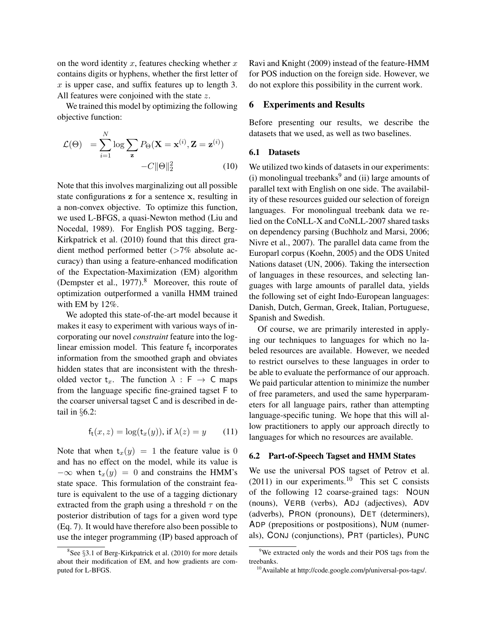on the word identity  $x$ , features checking whether  $x$ contains digits or hyphens, whether the first letter of  $x$  is upper case, and suffix features up to length 3. All features were conjoined with the state z.

We trained this model by optimizing the following objective function:

$$
\mathcal{L}(\Theta) = \sum_{i=1}^{N} \log \sum_{\mathbf{z}} P_{\Theta}(\mathbf{X} = \mathbf{x}^{(i)}, \mathbf{Z} = \mathbf{z}^{(i)}) - C \|\Theta\|_{2}^{2}
$$
(10)

Note that this involves marginalizing out all possible state configurations z for a sentence x, resulting in a non-convex objective. To optimize this function, we used L-BFGS, a quasi-Newton method (Liu and Nocedal, 1989). For English POS tagging, Berg-Kirkpatrick et al. (2010) found that this direct gradient method performed better (>7% absolute accuracy) than using a feature-enhanced modification of the Expectation-Maximization (EM) algorithm (Dempster et al.,  $1977$ ).<sup>8</sup> Moreover, this route of optimization outperformed a vanilla HMM trained with EM by 12%.

We adopted this state-of-the-art model because it makes it easy to experiment with various ways of incorporating our novel *constraint* feature into the loglinear emission model. This feature  $f_t$  incorporates information from the smoothed graph and obviates hidden states that are inconsistent with the thresholded vector  $t_x$ . The function  $\lambda : F \to C$  maps from the language specific fine-grained tagset F to the coarser universal tagset C and is described in detail in §6.2:

$$
f_{t}(x, z) = \log(t_{x}(y)), \text{ if } \lambda(z) = y \qquad (11)
$$

Note that when  $t_x(y) = 1$  the feature value is 0 and has no effect on the model, while its value is  $-\infty$  when  $t_x(y) = 0$  and constrains the HMM's state space. This formulation of the constraint feature is equivalent to the use of a tagging dictionary extracted from the graph using a threshold  $\tau$  on the posterior distribution of tags for a given word type (Eq. 7). It would have therefore also been possible to use the integer programming (IP) based approach of

Ravi and Knight (2009) instead of the feature-HMM for POS induction on the foreign side. However, we do not explore this possibility in the current work.

#### 6 Experiments and Results

Before presenting our results, we describe the datasets that we used, as well as two baselines.

#### 6.1 Datasets

We utilized two kinds of datasets in our experiments: (i) monolingual treebanks $9$  and (ii) large amounts of parallel text with English on one side. The availability of these resources guided our selection of foreign languages. For monolingual treebank data we relied on the CoNLL-X and CoNLL-2007 shared tasks on dependency parsing (Buchholz and Marsi, 2006; Nivre et al., 2007). The parallel data came from the Europarl corpus (Koehn, 2005) and the ODS United Nations dataset (UN, 2006). Taking the intersection of languages in these resources, and selecting languages with large amounts of parallel data, yields the following set of eight Indo-European languages: Danish, Dutch, German, Greek, Italian, Portuguese, Spanish and Swedish.

Of course, we are primarily interested in applying our techniques to languages for which no labeled resources are available. However, we needed to restrict ourselves to these languages in order to be able to evaluate the performance of our approach. We paid particular attention to minimize the number of free parameters, and used the same hyperparameters for all language pairs, rather than attempting language-specific tuning. We hope that this will allow practitioners to apply our approach directly to languages for which no resources are available.

#### 6.2 Part-of-Speech Tagset and HMM States

We use the universal POS tagset of Petrov et al.  $(2011)$  in our experiments.<sup>10</sup> This set C consists of the following 12 coarse-grained tags: NOUN (nouns), VERB (verbs), ADJ (adjectives), ADV (adverbs), PRON (pronouns), DET (determiners), ADP (prepositions or postpositions), NUM (numerals), CONJ (conjunctions), PRT (particles), PUNC

<sup>&</sup>lt;sup>8</sup>See §3.1 of Berg-Kirkpatrick et al. (2010) for more details about their modification of EM, and how gradients are computed for L-BFGS.

<sup>&</sup>lt;sup>9</sup>We extracted only the words and their POS tags from the treebanks.

<sup>10</sup>Available at http://code.google.com/p/universal-pos-tags/.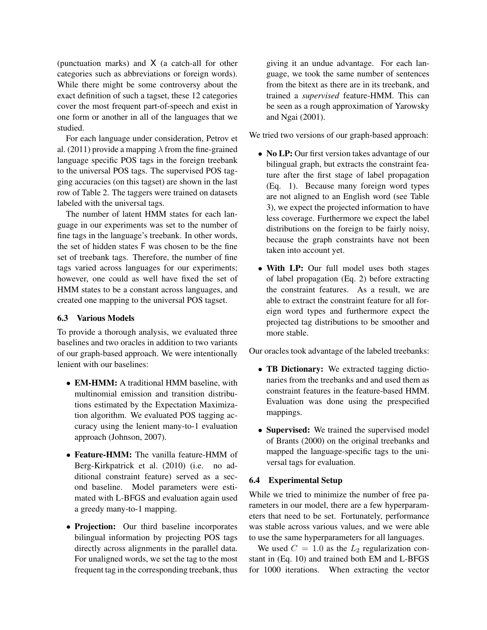(punctuation marks) and X (a catch-all for other categories such as abbreviations or foreign words). While there might be some controversy about the exact definition of such a tagset, these 12 categories cover the most frequent part-of-speech and exist in one form or another in all of the languages that we studied.

For each language under consideration, Petrov et al. (2011) provide a mapping  $\lambda$  from the fine-grained language specific POS tags in the foreign treebank to the universal POS tags. The supervised POS tagging accuracies (on this tagset) are shown in the last row of Table 2. The taggers were trained on datasets labeled with the universal tags.

The number of latent HMM states for each language in our experiments was set to the number of fine tags in the language's treebank. In other words, the set of hidden states F was chosen to be the fine set of treebank tags. Therefore, the number of fine tags varied across languages for our experiments; however, one could as well have fixed the set of HMM states to be a constant across languages, and created one mapping to the universal POS tagset.

## 6.3 Various Models

To provide a thorough analysis, we evaluated three baselines and two oracles in addition to two variants of our graph-based approach. We were intentionally lenient with our baselines:

- **EM-HMM:** A traditional HMM baseline, with multinomial emission and transition distributions estimated by the Expectation Maximization algorithm. We evaluated POS tagging accuracy using the lenient many-to-1 evaluation approach (Johnson, 2007).
- Feature-HMM: The vanilla feature-HMM of Berg-Kirkpatrick et al. (2010) (i.e. no additional constraint feature) served as a second baseline. Model parameters were estimated with L-BFGS and evaluation again used a greedy many-to-1 mapping.
- Projection: Our third baseline incorporates bilingual information by projecting POS tags directly across alignments in the parallel data. For unaligned words, we set the tag to the most frequent tag in the corresponding treebank, thus

giving it an undue advantage. For each language, we took the same number of sentences from the bitext as there are in its treebank, and trained a *supervised* feature-HMM. This can be seen as a rough approximation of Yarowsky and Ngai (2001).

We tried two versions of our graph-based approach:

- No LP: Our first version takes advantage of our bilingual graph, but extracts the constraint feature after the first stage of label propagation (Eq. 1). Because many foreign word types are not aligned to an English word (see Table 3), we expect the projected information to have less coverage. Furthermore we expect the label distributions on the foreign to be fairly noisy, because the graph constraints have not been taken into account yet.
- With LP: Our full model uses both stages of label propagation (Eq. 2) before extracting the constraint features. As a result, we are able to extract the constraint feature for all foreign word types and furthermore expect the projected tag distributions to be smoother and more stable.

Our oracles took advantage of the labeled treebanks:

- TB Dictionary: We extracted tagging dictionaries from the treebanks and and used them as constraint features in the feature-based HMM. Evaluation was done using the prespecified mappings.
- Supervised: We trained the supervised model of Brants (2000) on the original treebanks and mapped the language-specific tags to the universal tags for evaluation.

# 6.4 Experimental Setup

While we tried to minimize the number of free parameters in our model, there are a few hyperparameters that need to be set. Fortunately, performance was stable across various values, and we were able to use the same hyperparameters for all languages.

We used  $C = 1.0$  as the  $L_2$  regularization constant in (Eq. 10) and trained both EM and L-BFGS for 1000 iterations. When extracting the vector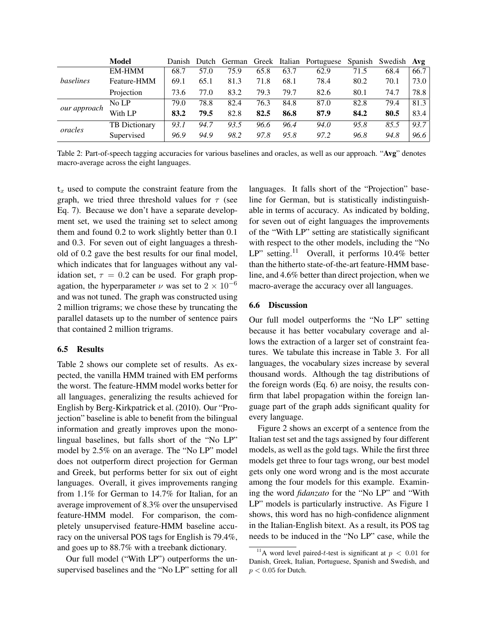|              | <b>Model</b>         | Danish | Dutch |      |      |      | German Greek Italian Portuguese |      | Spanish Swedish Avg |      |
|--------------|----------------------|--------|-------|------|------|------|---------------------------------|------|---------------------|------|
|              | <b>EM-HMM</b>        | 68.7   | 57.0  | 75.9 | 65.8 | 63.7 | 62.9                            | 71.5 | 68.4                | 66.7 |
| baselines    | Feature-HMM          | 69.1   | 65.1  | 81.3 | 71.8 | 68.1 | 78.4                            | 80.2 | 70.1                | 73.0 |
|              | Projection           | 73.6   | 77.0  | 83.2 | 79.3 | 79.7 | 82.6                            | 80.1 | 74.7                | 78.8 |
| our approach | No LP                | 79.0   | 78.8  | 82.4 | 76.3 | 84.8 | 87.0                            | 82.8 | 79.4                | 81.3 |
|              | With LP              | 83.2   | 79.5  | 82.8 | 82.5 | 86.8 | 87.9                            | 84.2 | 80.5                | 83.4 |
| oracles      | <b>TB</b> Dictionary | 93.1   | 94.7  | 93.5 | 96.6 | 96.4 | 94.0                            | 95.8 | 85.5                | 93.7 |
|              | Supervised           | 96.9   | 94.9  | 98.2 | 97.8 | 95.8 | 97.2                            | 96.8 | 94.8                | 96.6 |

Table 2: Part-of-speech tagging accuracies for various baselines and oracles, as well as our approach. "Avg" denotes macro-average across the eight languages.

 $t<sub>x</sub>$  used to compute the constraint feature from the graph, we tried three threshold values for  $\tau$  (see Eq. 7). Because we don't have a separate development set, we used the training set to select among them and found 0.2 to work slightly better than 0.1 and 0.3. For seven out of eight languages a threshold of 0.2 gave the best results for our final model, which indicates that for languages without any validation set,  $\tau = 0.2$  can be used. For graph propagation, the hyperparameter  $\nu$  was set to  $2 \times 10^{-6}$ and was not tuned. The graph was constructed using 2 million trigrams; we chose these by truncating the parallel datasets up to the number of sentence pairs that contained 2 million trigrams.

## 6.5 Results

Table 2 shows our complete set of results. As expected, the vanilla HMM trained with EM performs the worst. The feature-HMM model works better for all languages, generalizing the results achieved for English by Berg-Kirkpatrick et al. (2010). Our "Projection" baseline is able to benefit from the bilingual information and greatly improves upon the monolingual baselines, but falls short of the "No LP" model by 2.5% on an average. The "No LP" model does not outperform direct projection for German and Greek, but performs better for six out of eight languages. Overall, it gives improvements ranging from 1.1% for German to 14.7% for Italian, for an average improvement of 8.3% over the unsupervised feature-HMM model. For comparison, the completely unsupervised feature-HMM baseline accuracy on the universal POS tags for English is 79.4%, and goes up to 88.7% with a treebank dictionary.

Our full model ("With LP") outperforms the unsupervised baselines and the "No LP" setting for all languages. It falls short of the "Projection" baseline for German, but is statistically indistinguishable in terms of accuracy. As indicated by bolding, for seven out of eight languages the improvements of the "With LP" setting are statistically significant with respect to the other models, including the "No LP" setting.<sup>11</sup> Overall, it performs 10.4% better than the hitherto state-of-the-art feature-HMM baseline, and 4.6% better than direct projection, when we macro-average the accuracy over all languages.

#### 6.6 Discussion

Our full model outperforms the "No LP" setting because it has better vocabulary coverage and allows the extraction of a larger set of constraint features. We tabulate this increase in Table 3. For all languages, the vocabulary sizes increase by several thousand words. Although the tag distributions of the foreign words (Eq. 6) are noisy, the results confirm that label propagation within the foreign language part of the graph adds significant quality for every language.

Figure 2 shows an excerpt of a sentence from the Italian test set and the tags assigned by four different models, as well as the gold tags. While the first three models get three to four tags wrong, our best model gets only one word wrong and is the most accurate among the four models for this example. Examining the word *fidanzato* for the "No LP" and "With LP" models is particularly instructive. As Figure 1 shows, this word has no high-confidence alignment in the Italian-English bitext. As a result, its POS tag needs to be induced in the "No LP" case, while the

<sup>&</sup>lt;sup>11</sup>A word level paired-t-test is significant at  $p < 0.01$  for Danish, Greek, Italian, Portuguese, Spanish and Swedish, and  $p < 0.05$  for Dutch.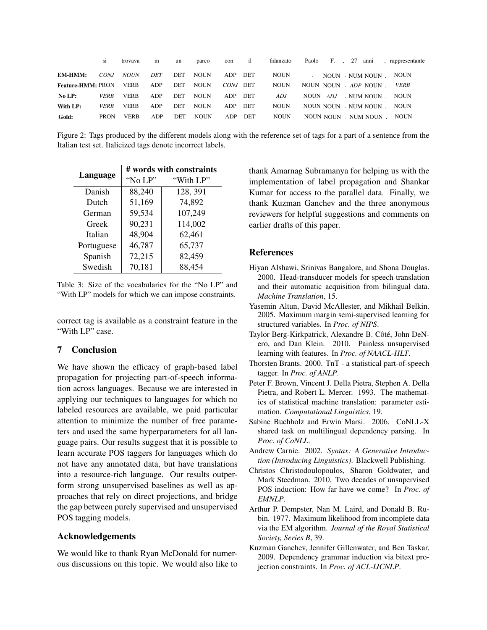|                          | <b>SI</b>   | trovava     | <sub>1</sub> n | un         | parco       | con        | il         | fidanzato   | Paolo F., 27          |  | anni            | , rappresentante |
|--------------------------|-------------|-------------|----------------|------------|-------------|------------|------------|-------------|-----------------------|--|-----------------|------------------|
| <b>EM-HMM:</b>           | CONJ        | <b>NOUN</b> | DET            | <b>DET</b> | <b>NOUN</b> | ADP        | <b>DET</b> | <b>NOUN</b> |                       |  | NOUN . NUM NOUN | <b>NOUN</b>      |
| <b>Feature-HMM: PRON</b> |             | <b>VERB</b> | ADP            | <b>DET</b> | <b>NOUN</b> | CONJ DET   |            | <b>NOUN</b> | NOUN NOUN . ADP NOUN  |  |                 | <b>VERB</b>      |
| No LP:                   | <b>VERB</b> | <b>VERB</b> | ADP            | <b>DET</b> | <b>NOUN</b> | <b>ADP</b> | <b>DET</b> | ADJ         | NOUN ADJ              |  | . NUM NOUN      | <b>NOUN</b>      |
| With LP:                 | <b>VERB</b> | <b>VERB</b> | ADP            | <b>DET</b> | <b>NOUN</b> | ADP        | <b>DET</b> | <b>NOUN</b> | NOUN NOUN . NUM NOUN  |  |                 | <b>NOUN</b>      |
| Gold:                    | <b>PRON</b> | <b>VERB</b> | ADP            | DET        | <b>NOUN</b> | ADP        | DET        | <b>NOUN</b> | NOUN NOUN . NUM NOUN. |  |                 | <b>NOUN</b>      |

Figure 2: Tags produced by the different models along with the reference set of tags for a part of a sentence from the Italian test set. Italicized tags denote incorrect labels.

|            | # words with constraints |           |  |  |  |  |  |  |
|------------|--------------------------|-----------|--|--|--|--|--|--|
| Language   | "No LP"                  | "With LP" |  |  |  |  |  |  |
| Danish     | 88,240                   | 128, 391  |  |  |  |  |  |  |
| Dutch      | 51,169                   | 74,892    |  |  |  |  |  |  |
| German     | 59,534                   | 107,249   |  |  |  |  |  |  |
| Greek      | 90,231                   | 114,002   |  |  |  |  |  |  |
| Italian    | 48,904                   | 62,461    |  |  |  |  |  |  |
| Portuguese | 46,787                   | 65,737    |  |  |  |  |  |  |
| Spanish    | 72,215                   | 82,459    |  |  |  |  |  |  |
| Swedish    | 70,181                   | 88,454    |  |  |  |  |  |  |

Table 3: Size of the vocabularies for the "No LP" and "With LP" models for which we can impose constraints.

correct tag is available as a constraint feature in the "With LP" case.

# 7 Conclusion

We have shown the efficacy of graph-based label propagation for projecting part-of-speech information across languages. Because we are interested in applying our techniques to languages for which no labeled resources are available, we paid particular attention to minimize the number of free parameters and used the same hyperparameters for all language pairs. Our results suggest that it is possible to learn accurate POS taggers for languages which do not have any annotated data, but have translations into a resource-rich language. Our results outperform strong unsupervised baselines as well as approaches that rely on direct projections, and bridge the gap between purely supervised and unsupervised POS tagging models.

## Acknowledgements

We would like to thank Ryan McDonald for numerous discussions on this topic. We would also like to thank Amarnag Subramanya for helping us with the implementation of label propagation and Shankar Kumar for access to the parallel data. Finally, we thank Kuzman Ganchev and the three anonymous reviewers for helpful suggestions and comments on earlier drafts of this paper.

## **References**

- Hiyan Alshawi, Srinivas Bangalore, and Shona Douglas. 2000. Head-transducer models for speech translation and their automatic acquisition from bilingual data. *Machine Translation*, 15.
- Yasemin Altun, David McAllester, and Mikhail Belkin. 2005. Maximum margin semi-supervised learning for structured variables. In *Proc. of NIPS*.
- Taylor Berg-Kirkpatrick, Alexandre B. Côté, John DeNero, and Dan Klein. 2010. Painless unsupervised learning with features. In *Proc. of NAACL-HLT*.
- Thorsten Brants. 2000. TnT a statistical part-of-speech tagger. In *Proc. of ANLP*.
- Peter F. Brown, Vincent J. Della Pietra, Stephen A. Della Pietra, and Robert L. Mercer. 1993. The mathematics of statistical machine translation: parameter estimation. *Computational Linguistics*, 19.
- Sabine Buchholz and Erwin Marsi. 2006. CoNLL-X shared task on multilingual dependency parsing. In *Proc. of CoNLL*.
- Andrew Carnie. 2002. *Syntax: A Generative Introduction (Introducing Linguistics)*. Blackwell Publishing.
- Christos Christodoulopoulos, Sharon Goldwater, and Mark Steedman. 2010. Two decades of unsupervised POS induction: How far have we come? In *Proc. of EMNLP*.
- Arthur P. Dempster, Nan M. Laird, and Donald B. Rubin. 1977. Maximum likelihood from incomplete data via the EM algorithm. *Journal of the Royal Statistical Society, Series B*, 39.
- Kuzman Ganchev, Jennifer Gillenwater, and Ben Taskar. 2009. Dependency grammar induction via bitext projection constraints. In *Proc. of ACL-IJCNLP*.